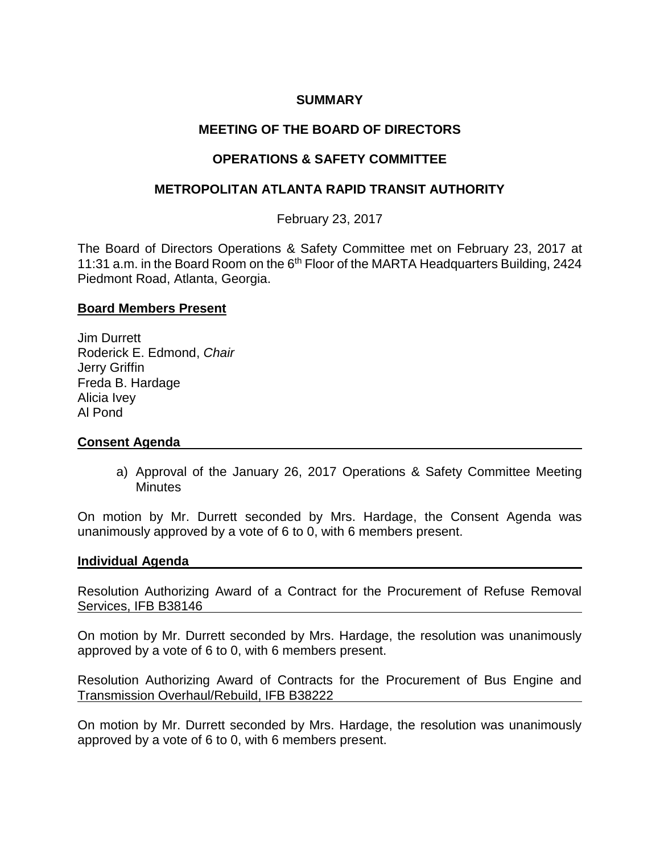# **SUMMARY**

# **MEETING OF THE BOARD OF DIRECTORS**

# **OPERATIONS & SAFETY COMMITTEE**

## **METROPOLITAN ATLANTA RAPID TRANSIT AUTHORITY**

February 23, 2017

The Board of Directors Operations & Safety Committee met on February 23, 2017 at 11:31 a.m. in the Board Room on the 6<sup>th</sup> Floor of the MARTA Headquarters Building, 2424 Piedmont Road, Atlanta, Georgia.

### **Board Members Present**

Jim Durrett Roderick E. Edmond, *Chair* Jerry Griffin Freda B. Hardage Alicia Ivey Al Pond

## **Consent Agenda**

a) Approval of the January 26, 2017 Operations & Safety Committee Meeting **Minutes** 

On motion by Mr. Durrett seconded by Mrs. Hardage, the Consent Agenda was unanimously approved by a vote of 6 to 0, with 6 members present.

### **Individual Agenda**

Resolution Authorizing Award of a Contract for the Procurement of Refuse Removal Services, IFB B38146

On motion by Mr. Durrett seconded by Mrs. Hardage, the resolution was unanimously approved by a vote of 6 to 0, with 6 members present.

Resolution Authorizing Award of Contracts for the Procurement of Bus Engine and Transmission Overhaul/Rebuild, IFB B38222

On motion by Mr. Durrett seconded by Mrs. Hardage, the resolution was unanimously approved by a vote of 6 to 0, with 6 members present.